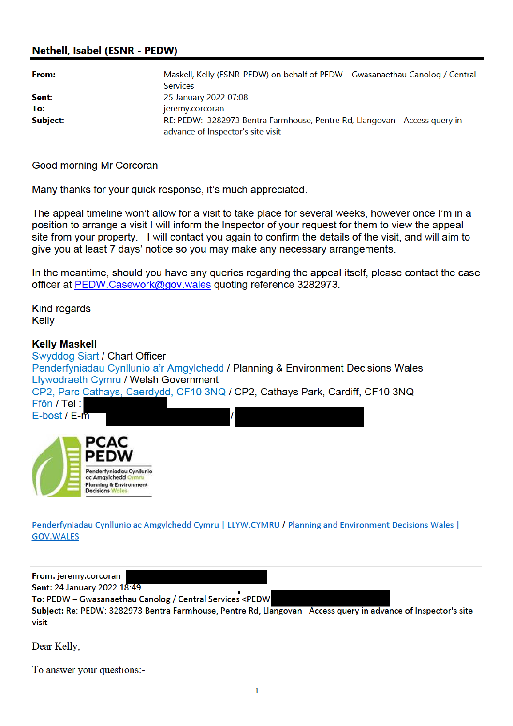## **Nethell, Isabel (ESNR - PEDW)**

| From:    | Maskell, Kelly (ESNR-PEDW) on behalf of PEDW – Gwasanaethau Canolog / Central |  |
|----------|-------------------------------------------------------------------------------|--|
|          | <b>Services</b>                                                               |  |
| Sent:    | 25 January 2022 07:08                                                         |  |
| To:      | jeremy.corcoran                                                               |  |
| Subject: | RE: PEDW: 3282973 Bentra Farmhouse, Pentre Rd, Llangovan - Access query in    |  |
|          | advance of Inspector's site visit                                             |  |

Good morning Mr Corcoran

Many thanks for your quick response, it's much appreciated.

The appeal timeline won't allow for a visit to take place for several weeks, however once I'm in a position to arrange a visit I will inform the Inspector of your request for them to view the appeal site from your property. I will contact you again to confirm the details of the visit, and will aim to give you at least 7 days' notice so you may make any necessary arrangements.

In the meantime, should you have any queries regarding the appeal itself, please contact the case officer at PEDW.Casework@gov.wales quoting reference 3282973.

**Kind regards Kelly** 

## **Kelly Maskell**

Swyddog Siart / Chart Officer Penderfyniadau Cynllunio a'r Amgylchedd / Planning & Environment Decisions Wales Llywodraeth Cymru / Welsh Government CP2, Parc Cathays, Caerdydd, CF10 3NQ / CP2, Cathays Park, Cardiff, CF10 3NQ Ffôn / Tel: E-bost / E-m РСАС

Penderfyniadau Cynllunio ac Amgylchedd Cymru | LLYW.CYMRU / Planning and Environment Decisions Wales | **GOV.WALES** 

From: jeremy.corcoran Sent: 24 January 2022 18:49 To: PEDW - Gwasanaethau Canolog / Central Services <PEDW Subject: Re: PEDW: 3282973 Bentra Farmhouse, Pentre Rd, Llangovan - Access query in advance of Inspector's site visit

Dear Kelly,

To answer your questions:-

Penderfyniadau Cynllunia ac Amgylchedd Cymru **Planning & Environment** 

Decisions W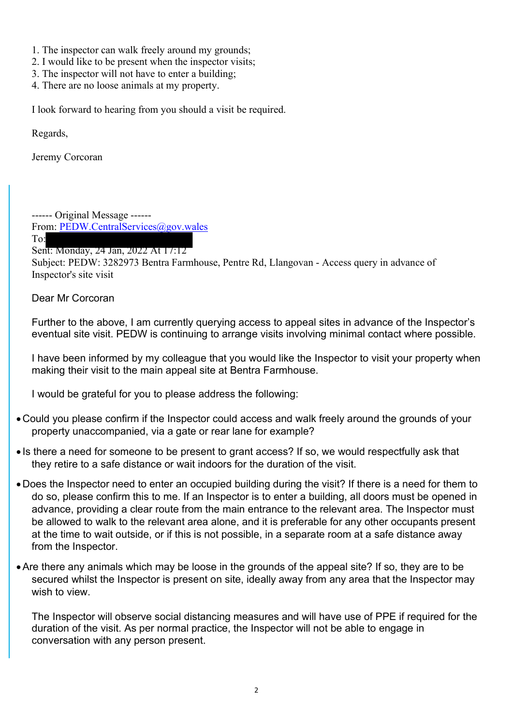- 1. The inspector can walk freely around my grounds;
- 2. I would like to be present when the inspector visits;
- 3. The inspector will not have to enter a building;
- 4. There are no loose animals at my property.

I look forward to hearing from you should a visit be required.

Regards,

Jeremy Corcoran

------ Original Message ------ From: PEDW.CentralServices@gov.wales

To:

## Sent: Monday, 24 Jan, 2022 At 17:12

Subject: PEDW: 3282973 Bentra Farmhouse, Pentre Rd, Llangovan - Access query in advance of Inspector's site visit

Dear Mr Corcoran

Further to the above, I am currently querying access to appeal sites in advance of the Inspector's eventual site visit. PEDW is continuing to arrange visits involving minimal contact where possible.

I have been informed by my colleague that you would like the Inspector to visit your property when making their visit to the main appeal site at Bentra Farmhouse.

I would be grateful for you to please address the following:

- Could you please confirm if the Inspector could access and walk freely around the grounds of your property unaccompanied, via a gate or rear lane for example?
- Is there a need for someone to be present to grant access? If so, we would respectfully ask that they retire to a safe distance or wait indoors for the duration of the visit.
- Does the Inspector need to enter an occupied building during the visit? If there is a need for them to do so, please confirm this to me. If an Inspector is to enter a building, all doors must be opened in advance, providing a clear route from the main entrance to the relevant area. The Inspector must be allowed to walk to the relevant area alone, and it is preferable for any other occupants present at the time to wait outside, or if this is not possible, in a separate room at a safe distance away from the Inspector.
- Are there any animals which may be loose in the grounds of the appeal site? If so, they are to be secured whilst the Inspector is present on site, ideally away from any area that the Inspector may wish to view.

The Inspector will observe social distancing measures and will have use of PPE if required for the duration of the visit. As per normal practice, the Inspector will not be able to engage in conversation with any person present.